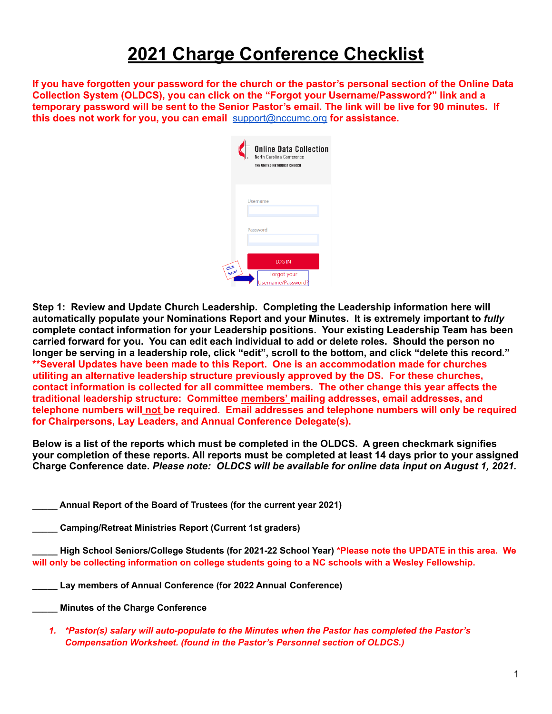## **2021 Charge Conference Checklist**

If you have forgotten your password for the church or the pastor's personal section of the Online Data **Collection System (OLDCS), you can click on the "Forgot your Username/Password?" link and a** temporary password will be sent to the Senior Pastor's email. The link will be live for 90 minutes. If **this does not work for you, you can email** [support@nccumc.org](mailto:support@nccumc.org) **for assistance.**

|                | <b>Online Data Collection</b><br>North Carolina Conference<br>THE UNITED METHODIST CHURCH |
|----------------|-------------------------------------------------------------------------------------------|
|                | Username<br>Password                                                                      |
| Click<br>here! | <b>LOG IN</b><br>Forgot your<br>//Jsername/Password                                       |

**Step 1: Review and Update Church Leadership. Completing the Leadership information here will automatically populate your Nominations Report and your Minutes. It is extremely important to** *fully* **complete contact information for your Leadership positions. Your existing Leadership Team has been carried forward for you. You can edit each individual to add or delete roles. Should the person no** longer be serving in a leadership role, click "edit", scroll to the bottom, and click "delete this record." **\*\*Several Updates have been made to this Report. One is an accommodation made for churches utiliting an alternative leadership structure previously approved by the DS. For these churches, contact information is collected for all committee members. The other change this year affects the traditional leadership structure: Committee members' mailing addresses, email addresses, and telephone numbers will not be required. Email addresses and telephone numbers will only be required for Chairpersons, Lay Leaders, and Annual Conference Delegate(s).**

**Below is a list of the reports which must be completed in the OLDCS. A green checkmark signifies** your completion of these reports. All reports must be completed at least 14 days prior to your assigned **Charge Conference date.** *Please note: OLDCS will be available for online data input on August 1, 2021.*

**\_\_\_\_\_ Annual Report of the Board of Trustees (for the current year 2021)**

**\_\_\_\_\_ Camping/Retreat Ministries Report (Current 1st graders)**

High School Seniors/College Students (for 2021-22 School Year) \*Please note the UPDATE in this area. We **will only be collecting information on college students going to a NC schools with a Wesley Fellowship.**

**\_\_\_\_\_ Lay members of Annual Conference (for 2022 Annual Conference)**

**\_\_\_\_\_ Minutes of the Charge Conference**

*1. \*Pastor(s) salary will auto-populate to the Minutes when the Pastor has completed the Pastor's Compensation Worksheet. (found in the Pastor's Personnel section of OLDCS.)*